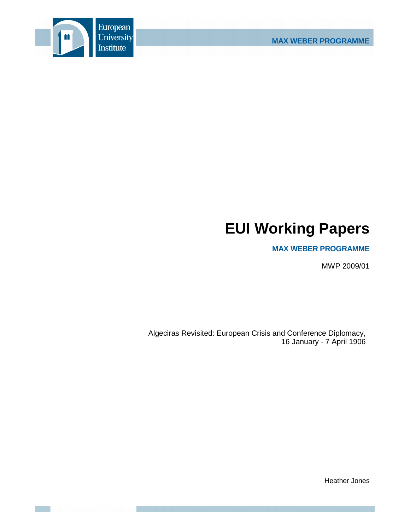



# **EUI Working Papers**

# **MAX WEBER PROGRAMME**

MWP 2009/01

Algeciras Revisited: European Crisis and Conference Diplomacy, 16 January - 7 April 1906

Heather Jones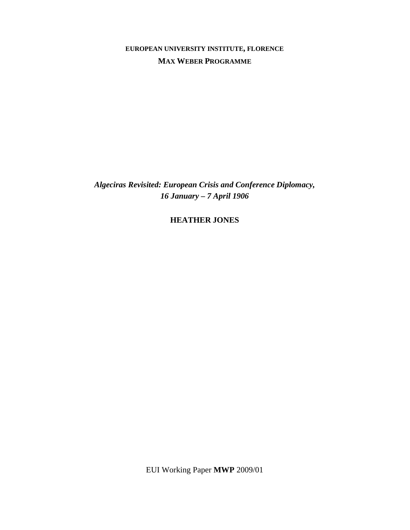**EUROPEAN UNIVERSITY INSTITUTE, FLORENCE MAX WEBER PROGRAMME**

*Algeciras Revisited: European Crisis and Conference Diplomacy, 16 January – 7 April 1906* 

**HEATHER JONES**

EUI Working Paper **MWP** 2009/01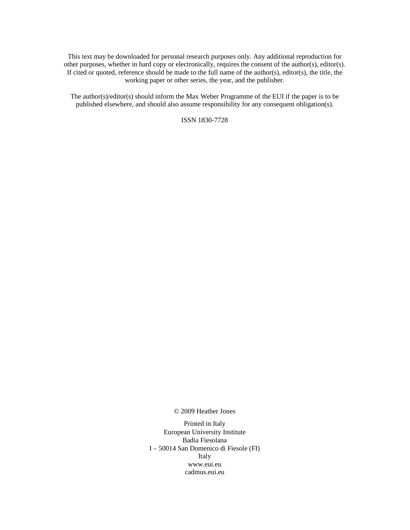This text may be downloaded for personal research purposes only. Any additional reproduction for other purposes, whether in hard copy or electronically, requires the consent of the author(s), editor(s). If cited or quoted, reference should be made to the full name of the author(s), editor(s), the title, the working paper or other series, the year, and the publisher.

The author(s)/editor(s) should inform the Max Weber Programme of the EUI if the paper is to be published elsewhere, and should also assume responsibility for any consequent obligation(s).

ISSN 1830-7728

© 2009 Heather Jones

Printed in Italy European University Institute Badia Fiesolana I – 50014 San Domenico di Fiesole (FI) Italy www.eui.eu cadmus.eui.eu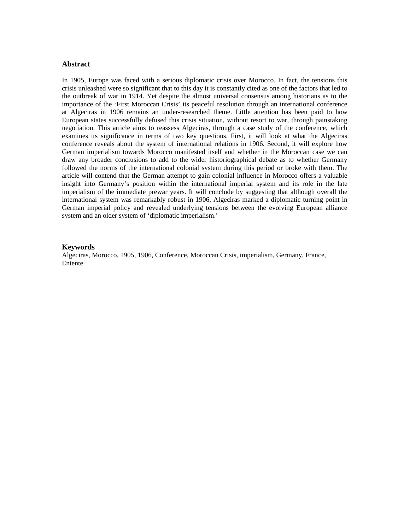# **Abstract**

In 1905, Europe was faced with a serious diplomatic crisis over Morocco. In fact, the tensions this crisis unleashed were so significant that to this day it is constantly cited as one of the factors that led to the outbreak of war in 1914. Yet despite the almost universal consensus among historians as to the importance of the 'First Moroccan Crisis' its peaceful resolution through an international conference at Algeciras in 1906 remains an under-researched theme. Little attention has been paid to how European states successfully defused this crisis situation, without resort to war, through painstaking negotiation. This article aims to reassess Algeciras, through a case study of the conference, which examines its significance in terms of two key questions. First, it will look at what the Algeciras conference reveals about the system of international relations in 1906. Second, it will explore how German imperialism towards Morocco manifested itself and whether in the Moroccan case we can draw any broader conclusions to add to the wider historiographical debate as to whether Germany followed the norms of the international colonial system during this period or broke with them. The article will contend that the German attempt to gain colonial influence in Morocco offers a valuable insight into Germany's position within the international imperial system and its role in the late imperialism of the immediate prewar years. It will conclude by suggesting that although overall the international system was remarkably robust in 1906, Algeciras marked a diplomatic turning point in German imperial policy and revealed underlying tensions between the evolving European alliance system and an older system of 'diplomatic imperialism.'

#### **Keywords**

Algeciras, Morocco, 1905, 1906, Conference, Moroccan Crisis, imperialism, Germany, France, Entente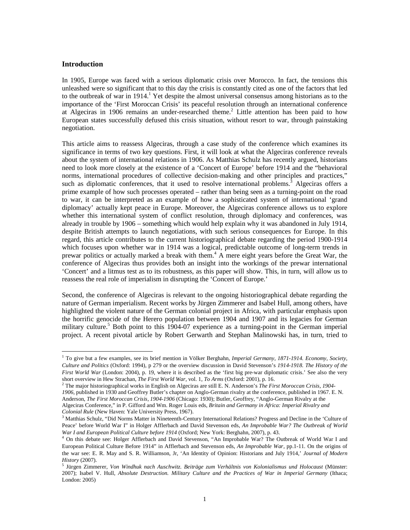# **Introduction**

 $\overline{a}$ 

In 1905, Europe was faced with a serious diplomatic crisis over Morocco. In fact, the tensions this unleashed were so significant that to this day the crisis is constantly cited as one of the factors that led to the outbreak of war in 1914.<sup>1</sup> Yet despite the almost universal consensus among historians as to the importance of the 'First Moroccan Crisis' its peaceful resolution through an international conference at Algeciras in 1906 remains an under-researched theme.<sup>2</sup> Little attention has been paid to how European states successfully defused this crisis situation, without resort to war, through painstaking negotiation.

This article aims to reassess Algeciras, through a case study of the conference which examines its significance in terms of two key questions. First, it will look at what the Algeciras conference reveals about the system of international relations in 1906. As Matthias Schulz has recently argued, historians need to look more closely at the existence of a 'Concert of Europe' before 1914 and the "behavioral norms, international procedures of collective decision-making and other principles and practices," such as diplomatic conferences, that it used to resolve international problems.<sup>3</sup> Algeciras offers a prime example of how such processes operated – rather than being seen as a turning-point on the road to war, it can be interpreted as an example of how a sophisticated system of international 'grand diplomacy' actually kept peace in Europe. Moreover, the Algeciras conference allows us to explore whether this international system of conflict resolution, through diplomacy and conferences, was already in trouble by 1906 – something which would help explain why it was abandoned in July 1914, despite British attempts to launch negotiations, with such serious consequences for Europe. In this regard, this article contributes to the current historiographical debate regarding the period 1900-1914 which focuses upon whether war in 1914 was a logical, predictable outcome of long-term trends in prewar politics or actually marked a break with them.<sup>4</sup> A mere eight years before the Great War, the conference of Algeciras thus provides both an insight into the workings of the prewar international 'Concert' and a litmus test as to its robustness, as this paper will show. This, in turn, will allow us to reassess the real role of imperialism in disrupting the 'Concert of Europe.'

Second, the conference of Algeciras is relevant to the ongoing historiographical debate regarding the nature of German imperialism. Recent works by Jürgen Zimmerer and Isabel Hull, among others, have highlighted the violent nature of the German colonial project in Africa, with particular emphasis upon the horrific genocide of the Herero population between 1904 and 1907 and its legacies for German military culture.<sup>5</sup> Both point to this 1904-07 experience as a turning-point in the German imperial project. A recent pivotal article by Robert Gerwarth and Stephan Malinowski has, in turn, tried to

2 The major historiographical works in English on Algeciras are still E. N. Anderson's *The First Moroccan Crisis, 1904- 1906*, published in 1930 and Geoffrey Butler's chapter on Anglo-German rivalry at the conference, published in 1967. E. N. Anderson, *The First Moroccan Crisis, 1904-1906* (Chicago: 1930); Butler, Geoffrey, "Anglo-German Rivalry at the Algeciras Conference," in P. Gifford and Wm. Roger Louis eds, *Britain and Germany in Africa: Imperial Rivalry and Colonial Rule* (New Haven: Yale University Press, 1967).

<sup>&</sup>lt;sup>1</sup> To give but a few examples, see its brief mention in Völker Berghahn, *Imperial Germany, 1871-1914. Economy, Society, Culture and Politics* (Oxford: 1994), p 279 or the overview discussion in David Stevenson's *1914-1918. The History of the First World War* (London: 2004), p. 19, where it is described as the 'first big pre-war diplomatic crisis.' See also the very short overview in Hew Strachan, *The First World War,* vol. 1, *To Arms* (Oxford: 2001), p. 16.

<sup>&</sup>lt;sup>3</sup> Matthias Schulz, "Did Norms Matter in Nineteenth-Century International Relations? Progress and Decline in the 'Culture of Peace' before World War I" in Holger Afflerbach and David Stevenson eds, *An Improbable War? The Outbreak of World War I and European Political Culture before 1914* (Oxford; New York: Berghahn, 2007), p. 43.

<sup>4</sup> On this debate see: Holger Afflerbach and David Stevenson, "An Improbable War? The Outbreak of World War I and European Political Culture Before 1914" in Afflerbach and Stevenson eds, *An Improbable War,* pp.1-11. On the origins of the war see: E. R. May and S. R. Williamson, Jr, 'An Identity of Opinion: Historians and July 1914,' *Journal of Modern History* (2007).

<sup>5</sup> Jürgen Zimmerer, *Von Windhuk nach Auschwitz. Beiträge zum Verhältnis von Kolonialismus und Holocaust* (Münster: 2007); Isabel V. Hull, *Absolute Destruction. Military Culture and the Practices of War in Imperial Germany* (Ithaca; London: 2005)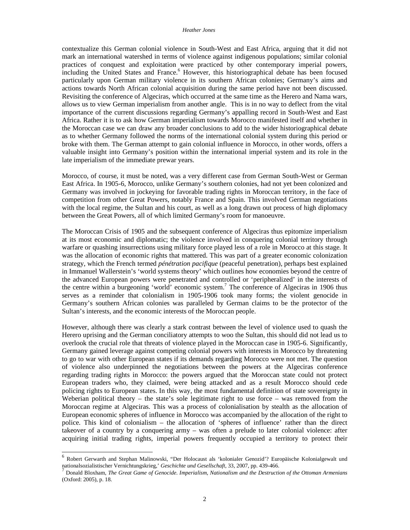contextualize this German colonial violence in South-West and East Africa, arguing that it did not mark an international watershed in terms of violence against indigenous populations; similar colonial practices of conquest and exploitation were practiced by other contemporary imperial powers, including the United States and France.<sup>6</sup> However, this historiographical debate has been focused particularly upon German military violence in its southern African colonies; Germany's aims and actions towards North African colonial acquisition during the same period have not been discussed. Revisiting the conference of Algeciras, which occurred at the same time as the Herero and Nama wars, allows us to view German imperialism from another angle. This is in no way to deflect from the vital importance of the current discussions regarding Germany's appalling record in South-West and East Africa. Rather it is to ask how German imperialism towards Morocco manifested itself and whether in the Moroccan case we can draw any broader conclusions to add to the wider historiographical debate as to whether Germany followed the norms of the international colonial system during this period or broke with them. The German attempt to gain colonial influence in Morocco, in other words, offers a valuable insight into Germany's position within the international imperial system and its role in the late imperialism of the immediate prewar years.

Morocco, of course, it must be noted, was a very different case from German South-West or German East Africa. In 1905-6, Morocco, unlike Germany's southern colonies, had not yet been colonized and Germany was involved in jockeying for favorable trading rights in Moroccan territory, in the face of competition from other Great Powers, notably France and Spain. This involved German negotiations with the local regime, the Sultan and his court, as well as a long drawn out process of high diplomacy between the Great Powers, all of which limited Germany's room for manoeuvre.

The Moroccan Crisis of 1905 and the subsequent conference of Algeciras thus epitomize imperialism at its most economic and diplomatic; the violence involved in conquering colonial territory through warfare or quashing insurrections using military force played less of a role in Morocco at this stage. It was the allocation of economic rights that mattered. This was part of a greater economic colonization strategy, which the French termed *pénétration pacifique* (peaceful penetration)*,* perhaps best explained in Immanuel Wallerstein's 'world systems theory' which outlines how economies beyond the centre of the advanced European powers were penetrated and controlled or 'peripheralized' in the interests of the centre within a burgeoning 'world' economic system.<sup>7</sup> The conference of Algeciras in 1906 thus serves as a reminder that colonialism in 1905-1906 took many forms; the violent genocide in Germany's southern African colonies was paralleled by German claims to be the protector of the Sultan's interests, and the economic interests of the Moroccan people.

However, although there was clearly a stark contrast between the level of violence used to quash the Herero uprising and the German conciliatory attempts to woo the Sultan, this should did not lead us to overlook the crucial role that threats of violence played in the Moroccan case in 1905-6. Significantly, Germany gained leverage against competing colonial powers with interests in Morocco by threatening to go to war with other European states if its demands regarding Morocco were not met. The question of violence also underpinned the negotiations between the powers at the Algeciras conference regarding trading rights in Morocco: the powers argued that the Moroccan state could not protect European traders who, they claimed, were being attacked and as a result Morocco should cede policing rights to European states. In this way, the most fundamental definition of state sovereignty in Weberian political theory – the state's sole legitimate right to use force – was removed from the Moroccan regime at Algeciras. This was a process of colonialisation by stealth as the allocation of European economic spheres of influence in Morocco was accompanied by the allocation of the right to police. This kind of colonialism – the allocation of 'spheres of influence' rather than the direct takeover of a country by a conquering army – was often a prelude to later colonial violence: after acquiring initial trading rights, imperial powers frequently occupied a territory to protect their

<sup>&</sup>lt;sup>6</sup> Robert Gerwarth and Stephan Malinowski, "Der Holocaust als 'kolonialer Genozid'? Europäische Kolonialgewalt und nationalsozialistischer Vernichtungskrieg,' *Geschichte und Gesellschaft*, 33, 2007, pp. 439-466.

<sup>7</sup> Donald Bloxham, *The Great Game of Genocide. Imperialism, Nationalism and the Destruction of the Ottoman Armenians* (Oxford: 2005), p. 18.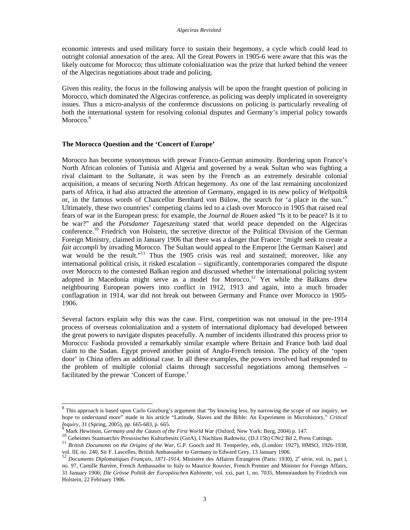economic interests and used military force to sustain their hegemony, a cycle which could lead to outright colonial annexation of the area. All the Great Powers in 1905-6 were aware that this was the likely outcome for Morocco; thus ultimate colonialization was the prize that lurked behind the veneer of the Algeciras negotiations about trade and policing.

Given this reality, the focus in the following analysis will be upon the fraught question of policing in Morocco, which dominated the Algeciras conference, as policing was deeply implicated in sovereignty issues. Thus a micro-analysis of the conference discussions on policing is particularly revealing of both the international system for resolving colonial disputes and Germany's imperial policy towards Morocco.<sup>8</sup>

# **The Morocco Question and the 'Concert of Europe'**

Morocco has become synonymous with prewar Franco-German animosity. Bordering upon France's North African colonies of Tunisia and Algeria and governed by a weak Sultan who was fighting a rival claimant to the Sultanate, it was seen by the French as an extremely desirable colonial acquisition, a means of securing North African hegemony. As one of the last remaining uncolonized parts of Africa, it had also attracted the attention of Germany, engaged in its new policy of *Weltpoltik*  or, in the famous words of Chancellor Bernhard von Bülow, the search for 'a place in the sun.'<sup>9</sup> Ultimately, these two countries' competing claims led to a clash over Morocco in 1905 that raised real fears of war in the European press: for example, the *Journal de Rouen* asked "Is it to be peace? Is it to be war?" and the *Potsdamer Tageszeitung* stated that world peace depended on the Algeciras conference.<sup>10</sup> Friedrich von Holstein, the secretive director of the Political Division of the German Foreign Ministry, claimed in January 1906 that there was a danger that France: "might seek to create a *fait accompli* by invading Morocco. The Sultan would appeal to the Emperor [the German Kaiser] and war would be the result."<sup>11</sup> Thus the 1905 crisis was real and sustained; moreover, like any international political crisis, it risked escalation – significantly, contemporaries compared the dispute over Morocco to the contested Balkan region and discussed whether the international policing system adopted in Macedonia might serve as a model for Morocco.<sup>12</sup> Yet while the Balkans drew neighbouring European powers into conflict in 1912, 1913 and again, into a much broader conflagration in 1914, war did not break out between Germany and France over Morocco in 1905- 1906.

Several factors explain why this was the case. First, competition was not unusual in the pre-1914 process of overseas colonialization and a system of international diplomacy had developed between the great powers to navigate disputes peacefully. A number of incidents illustrated this process prior to Morocco: Fashoda provided a remarkably similar example where Britain and France both laid dual claim to the Sudan. Egypt proved another point of Anglo-French tension. The policy of the 'open door' in China offers an additional case. In all these examples, the powers involved had responded to the problem of multiple colonial claims through successful negotiations among themselves – facilitated by the prewar 'Concert of Europe.'

<sup>&</sup>lt;sup>8</sup> This approach is based upon Carlo Ginzburg's argument that "by knowing less, by narrowing the scope of our inquiry, we hope to understand more" made in his article "Latitude, Slaves and the Bible: An Experiment in Microhistory," *Critical Inquiry*, 31 (Spring, 2005), pp. 665-683, p. 665.

<sup>9</sup> Mark Hewitson, *Germany and the Causes of the First World War* (Oxford; New York: Berg, 2004) p. 147.

<sup>10&</sup>lt;br>10 Geheimes Staatsarchiv Preussischer Kulturbesitz (GstA), I Nachlass Radowitz, (D.J.15b) CNr2 Bd 2, Press Cuttings.

<sup>&</sup>lt;sup>11</sup> *British Documents on the Origins of the War*, G.P. Gooch and H. Temperley, eds, (London: 1927), HMSO, 1926-1938, vol. III, no. 240, Sir F. Lascelles, British Ambassador to Germany to Edward Grey, 13 January 1906.

<sup>&</sup>lt;sup>12</sup> Documents Diplomatiques Français, 1871-1914, Ministère des Affaires Étrangères (Paris: 1930), 2<sup>e</sup> série, vol. ix, part i, no. 97, Camille Barrère, French Ambassador to Italy to Maurice Rouvier, French Premier and Minister for Foreign Affairs, 31 January 1906; *Die Grösse Politik der Europäischen Kabinette,* vol. xxi, part 1, no. 7035, Memorandum by Friedrich von Holstein, 22 February 1906.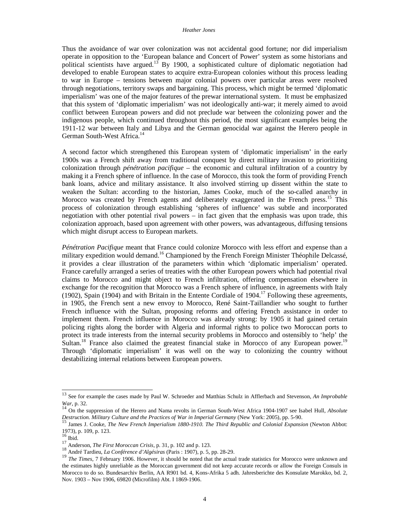Thus the avoidance of war over colonization was not accidental good fortune; nor did imperialism operate in opposition to the 'European balance and Concert of Power' system as some historians and political scientists have argued.<sup>13</sup> By 1900, a sophisticated culture of diplomatic negotiation had developed to enable European states to acquire extra-European colonies without this process leading to war in Europe – tensions between major colonial powers over particular areas were resolved through negotiations, territory swaps and bargaining. This process, which might be termed 'diplomatic imperialism' was one of the major features of the prewar international system. It must be emphasized that this system of 'diplomatic imperialism' was not ideologically anti-war; it merely aimed to avoid conflict between European powers and did not preclude war between the colonizing power and the indigenous people, which continued throughout this period, the most significant examples being the 1911-12 war between Italy and Libya and the German genocidal war against the Herero people in German South-West Africa.<sup>14</sup>

A second factor which strengthened this European system of 'diplomatic imperialism' in the early 1900s was a French shift away from traditional conquest by direct military invasion to prioritizing colonization through *pénétration pacifique* – the economic and cultural infiltration of a country by making it a French sphere of influence. In the case of Morocco, this took the form of providing French bank loans, advice and military assistance. It also involved stirring up dissent within the state to weaken the Sultan: according to the historian, James Cooke, much of the so-called anarchy in Morocco was created by French agents and deliberately exaggerated in the French press.<sup>15</sup> This process of colonization through establishing 'spheres of influence' was subtle and incorporated negotiation with other potential rival powers – in fact given that the emphasis was upon trade, this colonization approach, based upon agreement with other powers, was advantageous, diffusing tensions which might disrupt access to European markets.

*Pénétration Pacifique* meant that France could colonize Morocco with less effort and expense than a military expedition would demand.<sup>16</sup> Championed by the French Foreign Minister Théophile Delcassé, it provides a clear illustration of the parameters within which 'diplomatic imperialism' operated. France carefully arranged a series of treaties with the other European powers which had potential rival claims to Morocco and might object to French infiltration, offering compensation elsewhere in exchange for the recognition that Morocco was a French sphere of influence, in agreements with Italy (1902), Spain (1904) and with Britain in the Entente Cordiale of  $1904<sup>17</sup>$  Following these agreements, in 1905, the French sent a new envoy to Morocco, René Saint-Taillandier who sought to further French influence with the Sultan, proposing reforms and offering French assistance in order to implement them. French influence in Morocco was already strong: by 1905 it had gained certain policing rights along the border with Algeria and informal rights to police two Moroccan ports to protect its trade interests from the internal security problems in Morocco and ostensibly to 'help' the Sultan.<sup>18</sup> France also claimed the greatest financial stake in Morocco of any European power.<sup>19</sup> Through 'diplomatic imperialism' it was well on the way to colonizing the country without destabilizing internal relations between European powers.

<sup>13</sup> See for example the cases made by Paul W. Schroeder and Matthias Schulz in Afflerbach and Stevenson, *An Improbable War*, p. 32.

<sup>14</sup> On the suppression of the Herero and Nama revolts in German South-West Africa 1904-1907 see Isabel Hull, *Absolute Destruction. Military Culture and the Practices of War in Imperial Germany* (New York: 2005), pp. 5-90.

<sup>15</sup> James J. Cooke, *The New French Imperialism 1880-1910. The Third Republic and Colonial Expansion* (Newton Abbot: 1973), p. 109, p. 123.

 $\frac{16}{17}$  Ibid.

<sup>&</sup>lt;sup>17</sup> Anderson, *The First Moroccan Crisis*, p. 31, p. 102 and p. 123.

<sup>18</sup> André Tardieu, *La Conférence d'Algésiras* (Paris : 1907), p. 5, pp. 28-29.

<sup>&</sup>lt;sup>19</sup> *The Times*, 7 February 1906. However, it should be noted that the actual trade statistics for Morocco were unknown and the estimates highly unreliable as the Moroccan government did not keep accurate records or allow the Foreign Consuls in Morocco to do so. Bundesarchiv Berlin, AA R901 bd. 4, Kons-Afrika 5 adh. Jahresberichte des Konsulate Marokko, bd. 2, Nov. 1903 – Nov 1906, 69820 (Microfilm) Abt. I 1869-1906.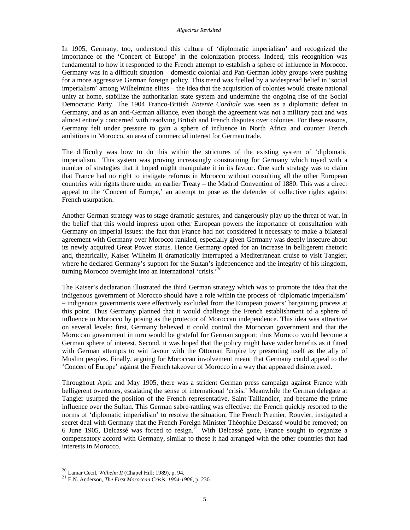In 1905, Germany, too, understood this culture of 'diplomatic imperialism' and recognized the importance of the 'Concert of Europe' in the colonization process. Indeed, this recognition was fundamental to how it responded to the French attempt to establish a sphere of influence in Morocco. Germany was in a difficult situation – domestic colonial and Pan-German lobby groups were pushing for a more aggressive German foreign policy. This trend was fuelled by a widespread belief in 'social imperialism' among Wilhelmine elites – the idea that the acquisition of colonies would create national unity at home, stabilize the authoritarian state system and undermine the ongoing rise of the Social Democratic Party. The 1904 Franco-British *Entente Cordiale* was seen as a diplomatic defeat in Germany, and as an anti-German alliance, even though the agreement was not a military pact and was almost entirely concerned with resolving British and French disputes over colonies. For these reasons, Germany felt under pressure to gain a sphere of influence in North Africa and counter French ambitions in Morocco, an area of commercial interest for German trade.

The difficulty was how to do this within the strictures of the existing system of 'diplomatic imperialism.' This system was proving increasingly constraining for Germany which toyed with a number of strategies that it hoped might manipulate it in its favour. One such strategy was to claim that France had no right to instigate reforms in Morocco without consulting all the other European countries with rights there under an earlier Treaty – the Madrid Convention of 1880. This was a direct appeal to the 'Concert of Europe,' an attempt to pose as the defender of collective rights against French usurpation.

Another German strategy was to stage dramatic gestures, and dangerously play up the threat of war, in the belief that this would impress upon other European powers the importance of consultation with Germany on imperial issues: the fact that France had not considered it necessary to make a bilateral agreement with Germany over Morocco rankled, especially given Germany was deeply insecure about its newly acquired Great Power status. Hence Germany opted for an increase in belligerent rhetoric and, theatrically, Kaiser Wilhelm II dramatically interrupted a Mediterranean cruise to visit Tangier, where he declared Germany's support for the Sultan's independence and the integrity of his kingdom, turning Morocco overnight into an international 'crisis.'<sup>20</sup>

The Kaiser's declaration illustrated the third German strategy which was to promote the idea that the indigenous government of Morocco should have a role within the process of 'diplomatic imperialism' – indigenous governments were effectively excluded from the European powers' bargaining process at this point. Thus Germany planned that it would challenge the French establishment of a sphere of influence in Morocco by posing as the protector of Moroccan independence. This idea was attractive on several levels: first, Germany believed it could control the Moroccan government and that the Moroccan government in turn would be grateful for German support; thus Morocco would become a German sphere of interest. Second, it was hoped that the policy might have wider benefits as it fitted with German attempts to win favour with the Ottoman Empire by presenting itself as the ally of Muslim peoples. Finally, arguing for Moroccan involvement meant that Germany could appeal to the 'Concert of Europe' against the French takeover of Morocco in a way that appeared disinterested.

Throughout April and May 1905, there was a strident German press campaign against France with belligerent overtones, escalating the sense of international 'crisis.' Meanwhile the German delegate at Tangier usurped the position of the French representative, Saint-Taillandier, and became the prime influence over the Sultan. This German sabre-rattling was effective: the French quickly resorted to the norms of 'diplomatic imperialism' to resolve the situation. The French Premier, Rouvier, instigated a secret deal with Germany that the French Foreign Minister Théophile Delcassé would be removed; on 6 June 1905, Delcassé was forced to resign.<sup>21</sup> With Delcassé gone, France sought to organize a compensatory accord with Germany, similar to those it had arranged with the other countries that had interests in Morocco.

<sup>20</sup> Lamar Cecil, *Wilhelm II* (Chapel Hill: 1989), p. 94.

<sup>21</sup> E.N. Anderson, *The First Moroccan Crisis*, 1904-1906, p. 230.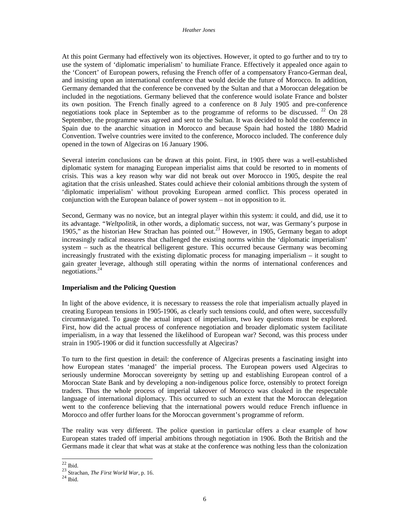At this point Germany had effectively won its objectives. However, it opted to go further and to try to use the system of 'diplomatic imperialism' to humiliate France. Effectively it appealed once again to the 'Concert' of European powers, refusing the French offer of a compensatory Franco-German deal, and insisting upon an international conference that would decide the future of Morocco. In addition, Germany demanded that the conference be convened by the Sultan and that a Moroccan delegation be included in the negotiations. Germany believed that the conference would isolate France and bolster its own position. The French finally agreed to a conference on 8 July 1905 and pre-conference negotiations took place in September as to the programme of reforms to be discussed.  $22$  On 28 September, the programme was agreed and sent to the Sultan. It was decided to hold the conference in Spain due to the anarchic situation in Morocco and because Spain had hosted the 1880 Madrid Convention. Twelve countries were invited to the conference, Morocco included. The conference duly opened in the town of Algeciras on 16 January 1906.

Several interim conclusions can be drawn at this point. First, in 1905 there was a well-established diplomatic system for managing European imperialist aims that could be resorted to in moments of crisis. This was a key reason why war did not break out over Morocco in 1905, despite the real agitation that the crisis unleashed. States could achieve their colonial ambitions through the system of 'diplomatic imperialism' without provoking European armed conflict. This process operated in conjunction with the European balance of power system – not in opposition to it.

Second, Germany was no novice, but an integral player within this system: it could, and did, use it to its advantage. "*Weltpolitik*, in other words, a diplomatic success, not war, was Germany's purpose in 1905," as the historian Hew Strachan has pointed out.<sup>23</sup> However, in 1905, Germany began to adopt increasingly radical measures that challenged the existing norms within the 'diplomatic imperialism' system – such as the theatrical belligerent gesture. This occurred because Germany was becoming increasingly frustrated with the existing diplomatic process for managing imperialism – it sought to gain greater leverage, although still operating within the norms of international conferences and negotiations.<sup>24</sup>

# **Imperialism and the Policing Question**

In light of the above evidence, it is necessary to reassess the role that imperialism actually played in creating European tensions in 1905-1906, as clearly such tensions could, and often were, successfully circumnavigated. To gauge the actual impact of imperialism, two key questions must be explored. First, how did the actual process of conference negotiation and broader diplomatic system facilitate imperialism, in a way that lessened the likelihood of European war? Second, was this process under strain in 1905-1906 or did it function successfully at Algeciras?

To turn to the first question in detail: the conference of Algeciras presents a fascinating insight into how European states 'managed' the imperial process. The European powers used Algeciras to seriously undermine Moroccan sovereignty by setting up and establishing European control of a Moroccan State Bank and by developing a non-indigenous police force, ostensibly to protect foreign traders. Thus the whole process of imperial takeover of Morocco was cloaked in the respectable language of international diplomacy. This occurred to such an extent that the Moroccan delegation went to the conference believing that the international powers would reduce French influence in Morocco and offer further loans for the Moroccan government's programme of reform.

The reality was very different. The police question in particular offers a clear example of how European states traded off imperial ambitions through negotiation in 1906. Both the British and the Germans made it clear that what was at stake at the conference was nothing less than the colonization

 $22$ Ibid.

<sup>23</sup> Strachan*, The First World War*, p. 16.

 $^{24}$  Ibid.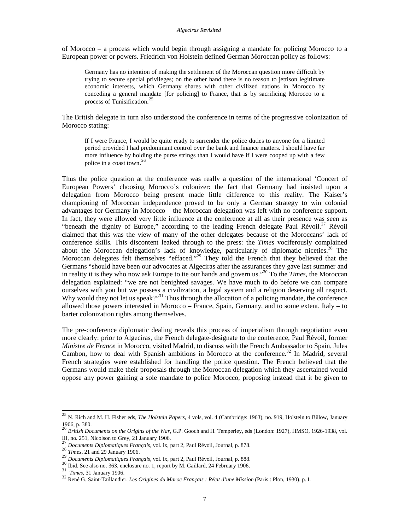of Morocco – a process which would begin through assigning a mandate for policing Morocco to a European power or powers. Friedrich von Holstein defined German Moroccan policy as follows:

Germany has no intention of making the settlement of the Moroccan question more difficult by trying to secure special privileges; on the other hand there is no reason to jettison legitimate economic interests, which Germany shares with other civilized nations in Morocco by conceding a general mandate [for policing] to France, that is by sacrificing Morocco to a process of Tunisification. 25

The British delegate in turn also understood the conference in terms of the progressive colonization of Morocco stating:

If I were France, I would be quite ready to surrender the police duties to anyone for a limited period provided I had predominant control over the bank and finance matters. I should have far more influence by holding the purse strings than I would have if I were cooped up with a few police in a coast town. 26

Thus the police question at the conference was really a question of the international 'Concert of European Powers' choosing Morocco's colonizer: the fact that Germany had insisted upon a delegation from Morocco being present made little difference to this reality. The Kaiser's championing of Moroccan independence proved to be only a German strategy to win colonial advantages for Germany in Morocco – the Moroccan delegation was left with no conference support. In fact, they were allowed very little influence at the conference at all as their presence was seen as "beneath the dignity of Europe," according to the leading French delegate Paul Révoil.<sup>27</sup> Révoil claimed that this was the view of many of the other delegates because of the Moroccans' lack of conference skills. This discontent leaked through to the press: the *Times* vociferously complained about the Moroccan delegation's lack of knowledge, particularly of diplomatic niceties.<sup>28</sup> The Moroccan delegates felt themselves "effaced."<sup>29</sup> They told the French that they believed that the Germans "should have been our advocates at Algeciras after the assurances they gave last summer and in reality it is they who now ask Europe to tie our hands and govern us."<sup>30</sup> To the *Times,* the Moroccan delegation explained: "we are not benighted savages. We have much to do before we can compare ourselves with you but we possess a civilization, a legal system and a religion deserving all respect. Why would they not let us speak?"<sup>31</sup> Thus through the allocation of a policing mandate, the conference allowed those powers interested in Morocco – France, Spain, Germany, and to some extent, Italy – to barter colonization rights among themselves.

The pre-conference diplomatic dealing reveals this process of imperialism through negotiation even more clearly: prior to Algeciras, the French delegate-designate to the conference, Paul Révoil, former *Ministre de France* in Morocco, visited Madrid, to discuss with the French Ambassador to Spain, Jules Cambon, how to deal with Spanish ambitions in Morocco at the conference.<sup>32</sup> In Madrid, several French strategies were established for handling the police question. The French believed that the Germans would make their proposals through the Moroccan delegation which they ascertained would oppose any power gaining a sole mandate to police Morocco, proposing instead that it be given to

<sup>25</sup> N. Rich and M. H. Fisher eds, *The Holstein Papers*, 4 vols, vol. 4 (Cambridge: 1963), no. 919, Holstein to Bülow, January 1906, p. 380.

<sup>26</sup> *British Documents on the Origins of the War*, G.P. Gooch and H. Temperley, eds (London: 1927), HMSO, 1926-1938, vol. III, no. 251, Nicolson to Grey, 21 January 1906.

<sup>27</sup> *Documents Diplomatiques Français*, vol. ix, part 2, Paul Révoil, Journal, p. 878.

<sup>28</sup> *Documents Dynama Processing*<br>28 *Times*, 21 and 29 January 1906.

<sup>29</sup> *Documents Diplomatiques Français,* vol. ix, part 2, Paul Révoil, Journal, p. 888.

<sup>30</sup> Ibid. See also no. 363, enclosure no. 1, report by M. Gaillard, 24 February 1906.

<sup>31</sup> *Times*, 31 January 1906.

<sup>32</sup> René G. Saint-Taillandier, *Les Origines du Maroc Français : Récit d'une Mission* (Paris : Plon, 1930), p. I.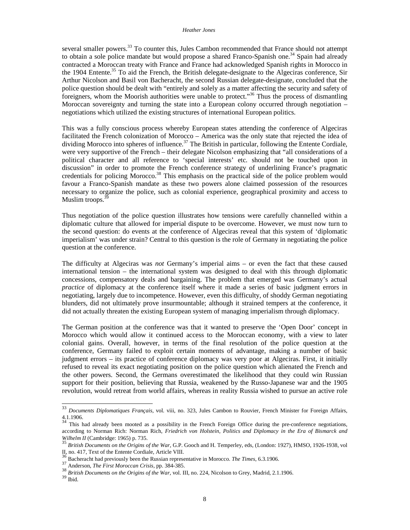several smaller powers.<sup>33</sup> To counter this, Jules Cambon recommended that France should not attempt to obtain a sole police mandate but would propose a shared Franco-Spanish one.<sup>34</sup> Spain had already contracted a Moroccan treaty with France and France had acknowledged Spanish rights in Morocco in the 1904 Entente.<sup>35</sup> To aid the French, the British delegate-designate to the Algeciras conference, Sir Arthur Nicolson and Basil von Bacheracht, the second Russian delegate-designate, concluded that the police question should be dealt with "entirely and solely as a matter affecting the security and safety of foreigners, whom the Moorish authorities were unable to protect."<sup>36</sup> Thus the process of dismantling Moroccan sovereignty and turning the state into a European colony occurred through negotiation – negotiations which utilized the existing structures of international European politics.

This was a fully conscious process whereby European states attending the conference of Algeciras facilitated the French colonization of Morocco – America was the only state that rejected the idea of dividing Morocco into spheres of influence.<sup>37</sup> The British in particular, following the Entente Cordiale, were very supportive of the French – their delegate Nicolson emphasizing that "all considerations of a political character and all reference to 'special interests' etc. should not be touched upon in discussion" in order to promote the French conference strategy of underlining France's pragmatic credentials for policing Morocco.<sup>38</sup> This emphasis on the practical side of the police problem would favour a Franco-Spanish mandate as these two powers alone claimed possession of the resources necessary to organize the police, such as colonial experience, geographical proximity and access to Muslim troops. $3$ 

Thus negotiation of the police question illustrates how tensions were carefully channelled within a diplomatic culture that allowed for imperial dispute to be overcome. However, we must now turn to the second question: do events at the conference of Algeciras reveal that this system of 'diplomatic imperialism' was under strain? Central to this question is the role of Germany in negotiating the police question at the conference.

The difficulty at Algeciras was *not* Germany's imperial aims – or even the fact that these caused international tension – the international system was designed to deal with this through diplomatic concessions, compensatory deals and bargaining. The problem that emerged was Germany's actual *practice* of diplomacy at the conference itself where it made a series of basic judgment errors in negotiating, largely due to incompetence. However, even this difficulty, of shoddy German negotiating blunders, did not ultimately prove insurmountable; although it strained tempers at the conference, it did not actually threaten the existing European system of managing imperialism through diplomacy.

The German position at the conference was that it wanted to preserve the 'Open Door' concept in Morocco which would allow it continued access to the Moroccan economy, with a view to later colonial gains. Overall, however, in terms of the final resolution of the police question at the conference, Germany failed to exploit certain moments of advantage, making a number of basic judgment errors – its practice of conference diplomacy was very poor at Algeciras. First, it initially refused to reveal its exact negotiating position on the police question which alienated the French and the other powers. Second, the Germans overestimated the likelihood that they could win Russian support for their position, believing that Russia, weakened by the Russo-Japanese war and the 1905 revolution, would retreat from world affairs, whereas in reality Russia wished to pursue an active role

<sup>33</sup> <sup>33</sup> *Documents Diplomatiques Français*, vol. viii, no. 323, Jules Cambon to Rouvier, French Minister for Foreign Affairs,  $4.1.1906$ .

This had already been mooted as a possibility in the French Foreign Office during the pre-conference negotiations, according to Norman Rich: Norman Rich, *Friedrich von Holstein*, *Politics and Diplomacy in the Era of Bismarck and Wilhelm II* (Cambridge: 1965) p. 735.

<sup>35</sup> *British Documents on the Origins of the War*, G.P. Gooch and H. Temperley, eds, (London: 1927), HMSO, 1926-1938, vol II, no. 417, Text of the Entente Cordiale, Article VIII.

<sup>36</sup> Bacheracht had previously been the Russian representative in Morocco. *The Times*, 6.3.1906.

<sup>37</sup> Anderson, *The First Moroccan Crisis,* pp. 384-385.

<sup>38</sup> *British Documents on the Origins of the War,* vol. III, no. 224, Nicolson to Grey, Madrid, 2.1.1906.  $^{39}$ Ibid.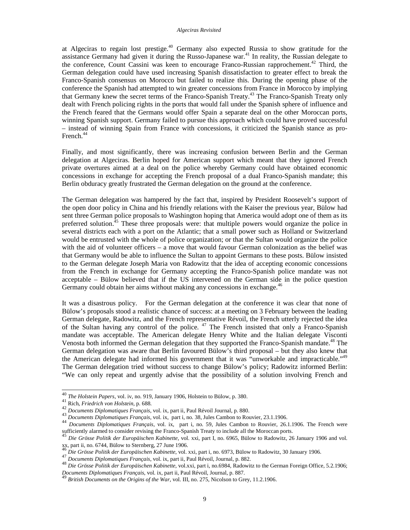#### *Algeciras Revisited*

at Algeciras to regain lost prestige.<sup>40</sup> Germany also expected Russia to show gratitude for the assistance Germany had given it during the Russo-Japanese war.<sup>41</sup> In reality, the Russian delegate to the conference, Count Cassini was keen to encourage Franco-Russian rapprochement.<sup>42</sup> Third, the German delegation could have used increasing Spanish dissatisfaction to greater effect to break the Franco-Spanish consensus on Morocco but failed to realize this. During the opening phase of the conference the Spanish had attempted to win greater concessions from France in Morocco by implying that Germany knew the secret terms of the Franco-Spanish Treaty.<sup>43</sup> The Franco-Spanish Treaty only dealt with French policing rights in the ports that would fall under the Spanish sphere of influence and the French feared that the Germans would offer Spain a separate deal on the other Moroccan ports, winning Spanish support. Germany failed to pursue this approach which could have proved successful – instead of winning Spain from France with concessions, it criticized the Spanish stance as pro-French.<sup>44</sup>

Finally, and most significantly, there was increasing confusion between Berlin and the German delegation at Algeciras. Berlin hoped for American support which meant that they ignored French private overtures aimed at a deal on the police whereby Germany could have obtained economic concessions in exchange for accepting the French proposal of a dual Franco-Spanish mandate; this Berlin obduracy greatly frustrated the German delegation on the ground at the conference.

The German delegation was hampered by the fact that, inspired by President Roosevelt's support of the open door policy in China and his friendly relations with the Kaiser the previous year, Bülow had sent three German police proposals to Washington hoping that America would adopt one of them as its preferred solution.<sup>45</sup> These three proposals were: that multiple powers would organize the police in several districts each with a port on the Atlantic; that a small power such as Holland or Switzerland would be entrusted with the whole of police organization; or that the Sultan would organize the police with the aid of volunteer officers – a move that would favour German colonization as the belief was that Germany would be able to influence the Sultan to appoint Germans to these posts. Bülow insisted to the German delegate Joseph Maria von Radowitz that the idea of accepting economic concessions from the French in exchange for Germany accepting the Franco-Spanish police mandate was not acceptable – Bülow believed that if the US intervened on the German side in the police question Germany could obtain her aims without making any concessions in exchange.<sup>46</sup>

It was a disastrous policy. For the German delegation at the conference it was clear that none of Bülow's proposals stood a realistic chance of success: at a meeting on 3 February between the leading German delegate, Radowitz, and the French representative Révoil, the French utterly rejected the idea of the Sultan having any control of the police. <sup>47</sup> The French insisted that only a Franco-Spanish mandate was acceptable. The American delegate Henry White and the Italian delegate Visconti Venosta both informed the German delegation that they supported the Franco-Spanish mandate.<sup>48</sup> The German delegation was aware that Berlin favoured Bülow's third proposal – but they also knew that the American delegate had informed his government that it was "unworkable and impracticable."<sup>49</sup> The German delegation tried without success to change Bülow's policy; Radowitz informed Berlin: "We can only repeat and urgently advise that the possibility of a solution involving French and

<sup>40</sup> *The Holstein Papers*, vol. iv, no. 919, January 1906, Holstein to Bülow, p. 380.

<sup>41</sup> Rich, *Friedrich von Holstein*, p. 688.

<sup>42</sup> *Documents Diplomatiques Français*, vol. ix, part ii, Paul Révoil Journal, p. 880.

<sup>43</sup> *Documents Diplomatiques Français*, vol. ix, part i, no. 38, Jules Cambon to Rouvier, 23.1.1906.

<sup>44</sup> *Documents Diplomatiques Français*, vol. ix, part i, no. 59, Jules Cambon to Rouvier, 26.1.1906. The French were sufficiently alarmed to consider revising the Franco-Spanish Treaty to include all the Moroccan ports.

<sup>45</sup> *Die Grösse Politik der Europäischen Kabinette*, vol. xxi, part I, no. 6965, Bülow to Radowitz, 26 January 1906 and vol.  $x$ xx, part ii, no. 6744, Bülow to Sternberg, 27 June 1906.

<sup>46</sup> *Die Grösse Politik der Europäischen Kabinette*, vol. xxi, part i, no. 6973, Bülow to Radowitz, 30 January 1906.

<sup>47</sup> *Documents Diplomatiques Français*, vol. ix, part ii, Paul Révoil, Journal, p. 882.

<sup>48</sup> *Die Grösse Politik der Europäischen Kabinette*, vol.xxi, part i, no.6984, Radowitz to the German Foreign Office, 5.2.1906; *Documents Diplomatiques Français*, vol. ix, part ii, Paul Révoil, Journal, p. 887.

<sup>49</sup> *British Documents on the Origins of the War*, vol. III, no. 275, Nicolson to Grey, 11.2.1906.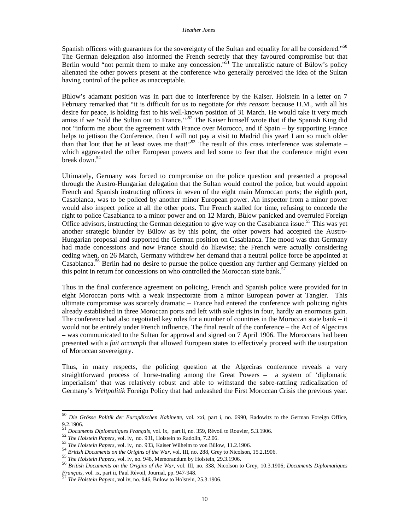Spanish officers with guarantees for the sovereignty of the Sultan and equality for all be considered."<sup>50</sup> The German delegation also informed the French secretly that they favoured compromise but that Berlin would "not permit them to make any concession."<sup>51</sup> The unrealistic nature of Bülow's policy alienated the other powers present at the conference who generally perceived the idea of the Sultan having control of the police as unacceptable.

Bülow's adamant position was in part due to interference by the Kaiser. Holstein in a letter on 7 February remarked that "it is difficult for us to negotiate *for this reason*: because H.M., with all his desire for peace, is holding fast to his well-known position of 31 March. He would take it very much amiss if we 'sold the Sultan out to France.'"<sup>52</sup> The Kaiser himself wrote that if the Spanish King did not "inform me about the agreement with France over Morocco, and if Spain – by supporting France helps to jettison the Conference, then I will not pay a visit to Madrid this year! I am so much older than that lout that he at least owes me that!"<sup>53</sup> The result of this crass interference was stalemate – which aggravated the other European powers and led some to fear that the conference might even break down. $54$ 

Ultimately, Germany was forced to compromise on the police question and presented a proposal through the Austro-Hungarian delegation that the Sultan would control the police, but would appoint French and Spanish instructing officers in seven of the eight main Moroccan ports; the eighth port, Casablanca, was to be policed by another minor European power. An inspector from a minor power would also inspect police at all the other ports. The French stalled for time, refusing to concede the right to police Casablanca to a minor power and on 12 March, Bülow panicked and overruled Foreign Office advisors, instructing the German delegation to give way on the Casablanca issue.<sup>55</sup> This was yet another strategic blunder by Bülow as by this point, the other powers had accepted the Austro-Hungarian proposal and supported the German position on Casablanca. The mood was that Germany had made concessions and now France should do likewise; the French were actually considering ceding when, on 26 March, Germany withdrew her demand that a neutral police force be appointed at Casablanca.<sup>56</sup> Berlin had no desire to pursue the police question any further and Germany yielded on this point in return for concessions on who controlled the Moroccan state bank.<sup>57</sup>

Thus in the final conference agreement on policing, French and Spanish police were provided for in eight Moroccan ports with a weak inspectorate from a minor European power at Tangier. This ultimate compromise was scarcely dramatic – France had entered the conference with policing rights already established in three Moroccan ports and left with sole rights in four, hardly an enormous gain. The conference had also negotiated key roles for a number of countries in the Moroccan state bank – it would not be entirely under French influence. The final result of the conference – the Act of Algeciras – was communicated to the Sultan for approval and signed on 7 April 1906. The Moroccans had been presented with a *fait accompli* that allowed European states to effectively proceed with the usurpation of Moroccan sovereignty.

Thus, in many respects, the policing question at the Algeciras conference reveals a very straightforward process of horse-trading among the Great Powers – a system of 'diplomatic imperialism' that was relatively robust and able to withstand the sabre-rattling radicalization of Germany's *Weltpolitik* Foreign Policy that had unleashed the First Moroccan Crisis the previous year.

<sup>50</sup> <sup>50</sup> *Die Grösse Politik der Europäischen Kabinette*, vol. xxi, part i, no. 6990, Radowitz to the German Foreign Office, 9.2.1906. <sup>51</sup> *Documents Diplomatiques Français,* vol. ix, part ii, no. 359, Révoil to Rouvier, 5.3.1906.

<sup>52</sup> *The Holstein Papers,* vol. iv, no. 931, Holstein to Radolin, 7.2.06.

<sup>53</sup> *The Holstein Papers*, vol. iv, no. 933, Kaiser Wilhelm to von Bülow, 11.2.1906.

**EXECUTE THE FLUISHER STATES OF THE ORIGINAL STATES OF THE ORIGINAL STATES.**<br> **British Documents on the Origins of the War**, vol. III, no. 288, Grey to Nicolson, 15.2.1906.

<sup>55</sup> *The Holstein Papers*, vol. iv, no. 948, Memorandum by Holstein, 29.3.1906.

<sup>56</sup> *British Documents on the Origins of the War*, vol. III, no. 338, Nicolson to Grey, 10.3.1906; *Documents Diplomatiques Français,* vol. ix, part ii, Paul Révoil, Journal, pp. 947-948.

<sup>57</sup> *The Holstein Papers*, vol iv, no. 946, Bülow to Holstein, 25.3.1906.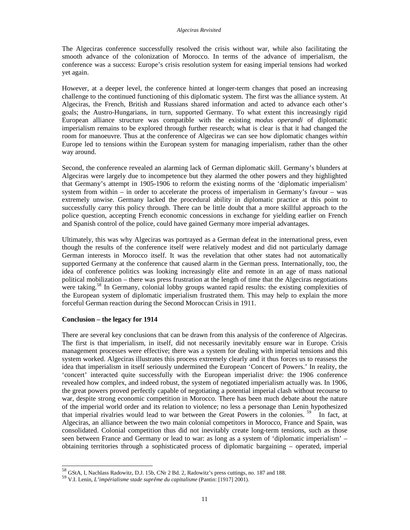The Algeciras conference successfully resolved the crisis without war, while also facilitating the smooth advance of the colonization of Morocco. In terms of the advance of imperialism, the conference was a success: Europe's crisis resolution system for easing imperial tensions had worked yet again.

However, at a deeper level, the conference hinted at longer-term changes that posed an increasing challenge to the continued functioning of this diplomatic system. The first was the alliance system. At Algeciras, the French, British and Russians shared information and acted to advance each other's goals; the Austro-Hungarians, in turn, supported Germany. To what extent this increasingly rigid European alliance structure was compatible with the existing *modus operandi* of diplomatic imperialism remains to be explored through further research; what is clear is that it had changed the room for manoeuvre. Thus at the conference of Algeciras we can see how diplomatic changes *within* Europe led to tensions within the European system for managing imperialism, rather than the other way around.

Second, the conference revealed an alarming lack of German diplomatic skill. Germany's blunders at Algeciras were largely due to incompetence but they alarmed the other powers and they highlighted that Germany's attempt in 1905-1906 to reform the existing norms of the 'diplomatic imperialism' system from within – in order to accelerate the process of imperialism in Germany's favour – was extremely unwise. Germany lacked the procedural ability in diplomatic practice at this point to successfully carry this policy through. There can be little doubt that a more skillful approach to the police question, accepting French economic concessions in exchange for yielding earlier on French and Spanish control of the police, could have gained Germany more imperial advantages.

Ultimately, this was why Algeciras was portrayed as a German defeat in the international press, even though the results of the conference itself were relatively modest and did not particularly damage German interests in Morocco itself. It was the revelation that other states had not automatically supported Germany at the conference that caused alarm in the German press. Internationally, too, the idea of conference politics was looking increasingly elite and remote in an age of mass national political mobilization – there was press frustration at the length of time that the Algeciras negotiations were taking.<sup>58</sup> In Germany, colonial lobby groups wanted rapid results: the existing complexities of the European system of diplomatic imperialism frustrated them. This may help to explain the more forceful German reaction during the Second Moroccan Crisis in 1911.

### **Conclusion – the legacy for 1914**

 $\overline{\phantom{a}}$ 

There are several key conclusions that can be drawn from this analysis of the conference of Algeciras. The first is that imperialism, in itself, did not necessarily inevitably ensure war in Europe. Crisis management processes were effective; there was a system for dealing with imperial tensions and this system worked. Algeciras illustrates this process extremely clearly and it thus forces us to reassess the idea that imperialism in itself seriously undermined the European 'Concert of Powers.' In reality, the 'concert' interacted quite successfully with the European imperialist drive: the 1906 conference revealed how complex, and indeed robust, the system of negotiated imperialism actually was. In 1906, the great powers proved perfectly capable of negotiating a potential imperial clash without recourse to war, despite strong economic competition in Morocco. There has been much debate about the nature of the imperial world order and its relation to violence; no less a personage than Lenin hypothesized that imperial rivalries would lead to war between the Great Powers in the colonies.<sup>59</sup> In fact, at Algeciras, an alliance between the two main colonial competitors in Morocco, France and Spain, was consolidated. Colonial competition thus did not inevitably create long-term tensions, such as those seen between France and Germany or lead to war: as long as a system of 'diplomatic imperialism' – obtaining territories through a sophisticated process of diplomatic bargaining – operated, imperial

 $^{58}$  GStA, I, Nachlass Radowitz, D.J. 15b, CNr 2 Bd. 2, Radowitz's press cuttings, no. 187 and 188.

<sup>59</sup> V.I. Lenin, *L'impérialisme stade suprême du capitalisme* (Pantin: [1917] 2001).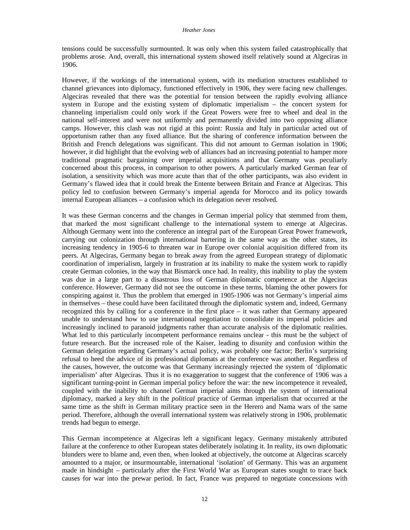tensions could be successfully surmounted. It was only when this system failed catastrophically that problems arose. And, overall, this international system showed itself relatively sound at Algeciras in 1906.

However, if the workings of the international system, with its mediation structures established to channel grievances into diplomacy, functioned effectively in 1906, they were facing new challenges. Algeciras revealed that there was the potential for tension between the rapidly evolving alliance system in Europe and the existing system of diplomatic imperialism – the concert system for channeling imperialism could only work if the Great Powers were free to wheel and deal in the national self-interest and were not uniformly and permanently divided into two opposing alliance camps. However, this clash was not rigid at this point: Russia and Italy in particular acted out of opportunism rather than any fixed alliance. But the sharing of conference information between the British and French delegations was significant. This did not amount to German isolation in 1906; however, it did highlight that the evolving web of alliances had an increasing potential to hamper more traditional pragmatic bargaining over imperial acquisitions and that Germany was peculiarly concerned about this process, in comparison to other powers. A particularly marked German fear of isolation, a sensitivity which was more acute than that of the other participants, was also evident in Germany's flawed idea that it could break the Entente between Britain and France at Algeciras. This policy led to confusion between Germany's imperial agenda for Morocco and its policy towards internal European alliances – a confusion which its delegation never resolved.

It was these German concerns and the changes in German imperial policy that stemmed from them, that marked the most significant challenge to the international system to emerge at Algeciras. Although Germany went into the conference an integral part of the European Great Power framework, carrying out colonization through international bartering in the same way as the other states, its increasing tendency in 1905-6 to threaten war in Europe over colonial acquisition differed from its peers. At Algeciras, Germany began to break away from the agreed European strategy of diplomatic coordination of imperialism, largely in frustration at its inability to make the system work to rapidly create German colonies, in the way that Bismarck once had. In reality, this inability to play the system was due in a large part to a disastrous loss of German diplomatic competence at the Algeciras conference. However, Germany did not see the outcome in these terms, blaming the other powers for conspiring against it. Thus the problem that emerged in 1905-1906 was not Germany's imperial aims in themselves – these could have been facilitated through the diplomatic system and, indeed, Germany recognized this by calling for a conference in the first place – it was rather that Germany appeared unable to understand how to use international negotiation to consolidate its imperial policies and increasingly inclined to paranoid judgments rather than accurate analysis of the diplomatic realities. What led to this particularly incompetent performance remains unclear - this must be the subject of future research. But the increased role of the Kaiser, leading to disunity and confusion within the German delegation regarding Germany's actual policy, was probably one factor; Berlin's surprising refusal to heed the advice of its professional diplomats at the conference was another. Regardless of the causes, however, the outcome was that Germany increasingly rejected the system of 'diplomatic imperialism' after Algeciras. Thus it is no exaggeration to suggest that the conference of 1906 was a significant turning-point in German imperial policy before the war: the new incompetence it revealed, coupled with the inability to channel German imperial aims through the system of international diplomacy, marked a key shift in the *political* practice of German imperialism that occurred at the same time as the shift in German military practice seen in the Herero and Nama wars of the same period. Therefore, although the overall international system was relatively strong in 1906, problematic trends had begun to emerge.

This German incompetence at Algeciras left a significant legacy. Germany mistakenly attributed failure at the conference to other European states deliberately isolating it. In reality, its own diplomatic blunders were to blame and, even then, when looked at objectively, the outcome at Algeciras scarcely amounted to a major, or insurmountable, international 'isolation' of Germany. This was an argument made in hindsight – particularly after the First World War as European states sought to trace back causes for war into the prewar period. In fact, France was prepared to negotiate concessions with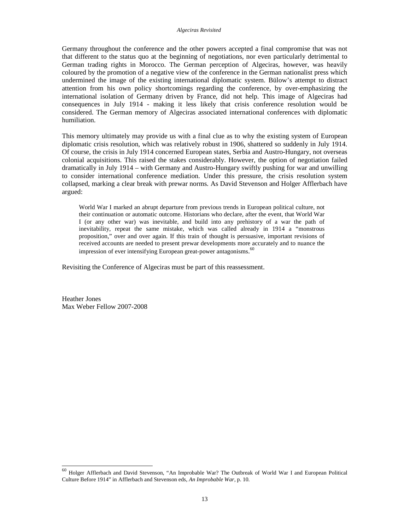#### *Algeciras Revisited*

Germany throughout the conference and the other powers accepted a final compromise that was not that different to the status quo at the beginning of negotiations, nor even particularly detrimental to German trading rights in Morocco. The German perception of Algeciras, however, was heavily coloured by the promotion of a negative view of the conference in the German nationalist press which undermined the image of the existing international diplomatic system. Bülow's attempt to distract attention from his own policy shortcomings regarding the conference, by over-emphasizing the international isolation of Germany driven by France, did not help. This image of Algeciras had consequences in July 1914 - making it less likely that crisis conference resolution would be considered. The German memory of Algeciras associated international conferences with diplomatic humiliation.

This memory ultimately may provide us with a final clue as to why the existing system of European diplomatic crisis resolution, which was relatively robust in 1906, shattered so suddenly in July 1914. Of course, the crisis in July 1914 concerned European states, Serbia and Austro-Hungary, not overseas colonial acquisitions. This raised the stakes considerably. However, the option of negotiation failed dramatically in July 1914 – with Germany and Austro-Hungary swiftly pushing for war and unwilling to consider international conference mediation. Under this pressure, the crisis resolution system collapsed, marking a clear break with prewar norms. As David Stevenson and Holger Afflerbach have argued:

World War I marked an abrupt departure from previous trends in European political culture, not their continuation or automatic outcome. Historians who declare, after the event, that World War I (or any other war) was inevitable, and build into any prehistory of a war the path of inevitability, repeat the same mistake, which was called already in 1914 a "monstrous proposition," over and over again. If this train of thought is persuasive, important revisions of received accounts are needed to present prewar developments more accurately and to nuance the impression of ever intensifying European great-power antagonisms. 60

Revisiting the Conference of Algeciras must be part of this reassessment.

Heather Jones Max Weber Fellow 2007-2008

<sup>60</sup> Holger Afflerbach and David Stevenson, "An Improbable War? The Outbreak of World War I and European Political Culture Before 1914" in Afflerbach and Stevenson eds, *An Improbable War,* p. 10.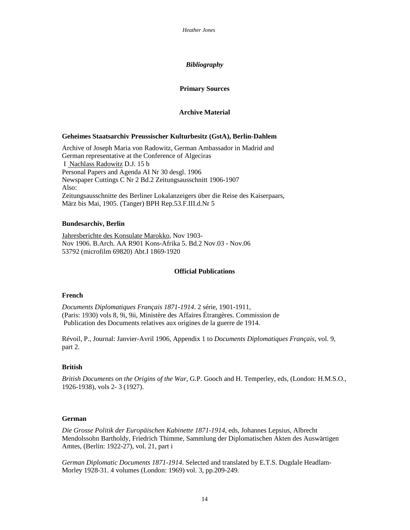# *Bibliography*

# **Primary Sources**

# **Archive Material**

# **Geheimes Staatsarchiv Preussischer Kulturbesitz (GstA), Berlin-Dahlem**

Archive of Joseph Maria von Radowitz, German Ambassador in Madrid and German representative at the Conference of Algeciras I Nachlass Radowitz D.J. 15 b Personal Papers and Agenda AI Nr 30 desgl. 1906 Newspaper Cuttings C Nr 2 Bd.2 Zeitungsausschnitt 1906-1907 Also: Zeitungsausschnitte des Berliner Lokalanzeigers über die Reise des Kaiserpaars, März bis Mai, 1905. (Tanger) BPH Rep.53.F.III.d.Nr 5

### **Bundesarchiv, Berlin**

Jahresberichte des Konsulate Marokko, Nov 1903- Nov 1906. B.Arch. AA R901 Kons-Afrika 5. Bd.2 Nov.03 - Nov.06 53792 (microfilm 69820) Abt.I 1869-1920

# **Official Publications**

## **French**

*Documents Diplomatiques Français 1871-1914*. 2 série, 1901-1911, (Paris: 1930) vols 8, 9i, 9ii, Ministère des Affaires Étrangères. Commission de Publication des Documents relatives aux origines de la guerre de 1914.

Révoil, P., Journal: Janvier-Avril 1906, Appendix 1 to *Documents Diplomatiques Français*, vol. 9, part 2.

#### **British**

*British Documents on the Origins of the War,* G.P. Gooch and H. Temperley, eds, (London: H.M.S.O., 1926-1938), vols 2- 3 (1927).

# **German**

*Die Grosse Politik der Europäischen Kabinette 1871-1914,* eds, Johannes Lepsius, Albrecht Mendolssohn Bartholdy, Friedrich Thimme, Sammlung der Diplomatischen Akten des Auswärtigen Amtes, (Berlin: 1922-27), vol. 21, part i

*German Diplomatic Documents 1871-1914*. Selected and translated by E.T.S. Dugdale Headlam-Morley 1928-31. 4 volumes (London: 1969) vol. 3, pp.209-249.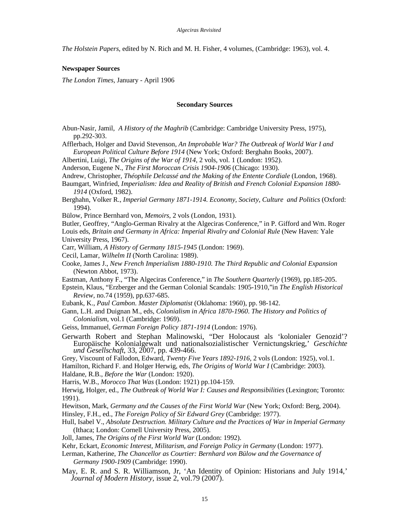*The Holstein Papers*, edited by N. Rich and M. H. Fisher, 4 volumes, (Cambridge: 1963), vol. 4.

#### **Newspaper Sources**

*The London Times,* January - April 1906

#### **Secondary Sources**

- Abun-Nasir, Jamil, *A History of the Maghrib* (Cambridge: Cambridge University Press, 1975), pp.292-303.
- Afflerbach, Holger and David Stevenson, *An Improbable War? The Outbreak of World War I and European Political Culture Before 1914* (New York; Oxford: Berghahn Books, 2007).

Albertini, Luigi, *The Origins of the War of 1914*, 2 vols, vol. 1 (London: 1952).

Anderson, Eugene N., *The First Moroccan Crisis 1904-1906* (Chicago: 1930).

- Andrew, Christopher, *Théophile Delcassé and the Making of the Entente Cordiale* (London, 1968).
- Baumgart, Winfried, *Imperialism: Idea and Reality of British and French Colonial Expansion 1880- 1914* (Oxford, 1982).
- Berghahn, Volker R., *Imperial Germany 1871-1914. Economy, Society, Culture and Politics* (Oxford: 1994).
- Bülow, Prince Bernhard von, *Memoirs*, 2 vols (London, 1931).

Butler, Geoffrey, "Anglo-German Rivalry at the Algeciras Conference," in P. Gifford and Wm. Roger Louis eds, *Britain and Germany in Africa: Imperial Rivalry and Colonial Rule* (New Haven: Yale University Press, 1967).

Carr, William, *A History of Germany 1815-1945* (London: 1969).

Cecil, Lamar, *Wilhelm II* (North Carolina: 1989).

Cooke, James J., *New French Imperialism 1880-1910. The Third Republic and Colonial Expansion*  (Newton Abbot, 1973).

Eastman, Anthony F., "The Algeciras Conference," in *The Southern Quarterly* (1969), pp.185-205.

Epstein, Klaus, "Erzberger and the German Colonial Scandals: 1905-1910,"in *The English Historical Review,* no.74 (1959), pp.637-685.

Eubank, K., *Paul Cambon. Master Diplomatist* (Oklahoma: 1960), pp. 98-142.

Gann, L.H. and Duignan M., eds, *Colonialism in Africa 1870-1960*. *The History and Politics of Colonialism,* vol.1 (Cambridge: 1969).

Geiss, Immanuel, *German Foreign Policy 1871-1914* (London: 1976).

Gerwarth Robert and Stephan Malinowski, "Der Holocaust als 'kolonialer Genozid'? Europäische Kolonialgewalt und nationalsozialistischer Vernictungskrieg,' *Geschichte und Gesellschaft*, 33, 2007, pp. 439-466.

Grey, Viscount of Fallodon, Edward, *Twenty Five Years 1892-1916,* 2 vols (London: 1925)*,* vol.1. Hamilton, Richard F. and Holger Herwig, eds, *The Origins of World War I* (Cambridge: 2003).

Haldane, R.B., *Before the War* (London: 1920).

Harris, W.B., *Morocco That Was* (London: 1921) pp.104-159.

Herwig, Holger, ed., *The Outbreak of World War I: Causes and Responsibilities* (Lexington; Toronto: 1991).

Hewitson, Mark, *Germany and the Causes of the First World War* (New York; Oxford: Berg, 2004).

Hinsley, F.H., ed., *The Foreign Policy of Sir Edward Grey* (Cambridge: 1977).

- Hull, Isabel V., *Absolute Destruction. Military Culture and the Practices of War in Imperial Germany* (Ithaca; London: Cornell University Press, 2005).
- Joll, James, *The Origins of the First World War* (London: 1992).

Kehr, Eckart, *Economic Interest, Militarism, and Foreign Policy in Germany* (London: 1977).

Lerman, Katherine, *The Chancellor as Courtier: Bernhard von Bülow and the Governance of Germany 1900-1909* (Cambridge: 1990).

May, E. R. and S. R. Williamson, Jr, 'An Identity of Opinion: Historians and July 1914,' *Journal of Modern History,* issue 2, vol.79 (2007).